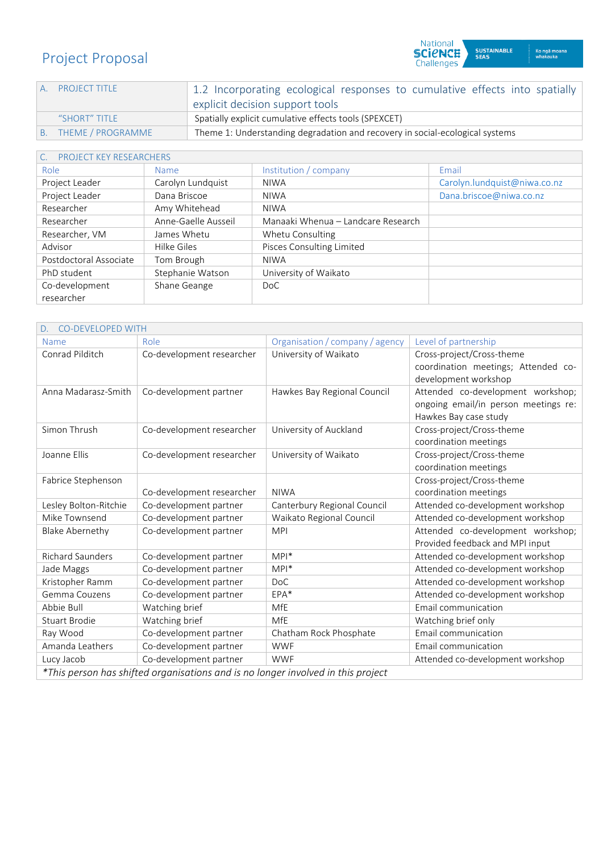# Project Proposal

| A PROJECT TITLE      | 1.2 Incorporating ecological responses to cumulative effects into spatially  |
|----------------------|------------------------------------------------------------------------------|
|                      | explicit decision support tools                                              |
| "SHORT" TITLE        | Spatially explicit cumulative effects tools (SPEXCET)                        |
| B. THEME / PROGRAMME | Theme 1: Understanding degradation and recovery in social-ecological systems |
|                      |                                                                              |

National<br>**SCICNCE**<br>Challenges

SUSTAINABLE<br>SEAS

Ko ngā moana<br>whakauka

## C. PROJECT KEY RESEARCHERS

| Role                   | Name                | Institution / company              | Email                        |
|------------------------|---------------------|------------------------------------|------------------------------|
| Project Leader         | Carolyn Lundquist   | <b>NIWA</b>                        | Carolyn.lundquist@niwa.co.nz |
| Project Leader         | Dana Briscoe        | <b>NIWA</b>                        | Dana.briscoe@niwa.co.nz      |
| Researcher             | Amy Whitehead       | <b>NIWA</b>                        |                              |
| Researcher             | Anne-Gaelle Ausseil | Manaaki Whenua - Landcare Research |                              |
| Researcher, VM         | James Whetu         | Whetu Consulting                   |                              |
| Advisor                | Hilke Giles         | Pisces Consulting Limited          |                              |
| Postdoctoral Associate | Tom Brough          | <b>NIWA</b>                        |                              |
| PhD student            | Stephanie Watson    | University of Waikato              |                              |
| Co-development         | Shane Geange        | DoC                                |                              |
| researcher             |                     |                                    |                              |

| <b>CO-DEVELOPED WITH</b>                                                         |                           |                                 |                                                                                                    |
|----------------------------------------------------------------------------------|---------------------------|---------------------------------|----------------------------------------------------------------------------------------------------|
| Name                                                                             | Role                      | Organisation / company / agency | Level of partnership                                                                               |
| Conrad Pilditch                                                                  | Co-development researcher | University of Waikato           | Cross-project/Cross-theme<br>coordination meetings; Attended co-<br>development workshop           |
| Anna Madarasz-Smith                                                              | Co-development partner    | Hawkes Bay Regional Council     | Attended co-development workshop;<br>ongoing email/in person meetings re:<br>Hawkes Bay case study |
| Simon Thrush                                                                     | Co-development researcher | University of Auckland          | Cross-project/Cross-theme<br>coordination meetings                                                 |
| Joanne Ellis                                                                     | Co-development researcher | University of Waikato           | Cross-project/Cross-theme<br>coordination meetings                                                 |
| Fabrice Stephenson                                                               | Co-development researcher | <b>NIWA</b>                     | Cross-project/Cross-theme<br>coordination meetings                                                 |
| Lesley Bolton-Ritchie                                                            | Co-development partner    | Canterbury Regional Council     | Attended co-development workshop                                                                   |
| Mike Townsend                                                                    | Co-development partner    | Waikato Regional Council        | Attended co-development workshop                                                                   |
| <b>Blake Abernethy</b>                                                           | Co-development partner    | <b>MPI</b>                      | Attended co-development workshop;<br>Provided feedback and MPI input                               |
| <b>Richard Saunders</b>                                                          | Co-development partner    | $MPI^*$                         | Attended co-development workshop                                                                   |
| Jade Maggs                                                                       | Co-development partner    | $MPI^*$                         | Attended co-development workshop                                                                   |
| Kristopher Ramm                                                                  | Co-development partner    | <b>DoC</b>                      | Attended co-development workshop                                                                   |
| Gemma Couzens                                                                    | Co-development partner    | $EPA*$                          | Attended co-development workshop                                                                   |
| Abbie Bull                                                                       | Watching brief            | MfE                             | Email communication                                                                                |
| Stuart Brodie                                                                    | Watching brief            | MfE                             | Watching brief only                                                                                |
| Ray Wood                                                                         | Co-development partner    | Chatham Rock Phosphate          | Email communication                                                                                |
| Amanda Leathers                                                                  | Co-development partner    | <b>WWF</b>                      | Email communication                                                                                |
| Lucy Jacob                                                                       | Co-development partner    | <b>WWF</b>                      | Attended co-development workshop                                                                   |
| *This person has shifted organisations and is no longer involved in this project |                           |                                 |                                                                                                    |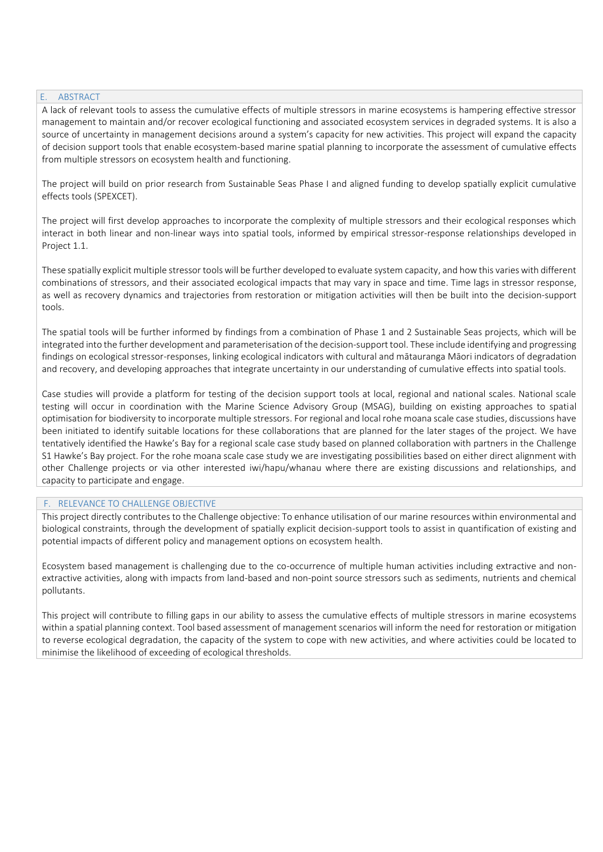#### E. ABSTRACT

A lack of relevant tools to assess the cumulative effects of multiple stressors in marine ecosystems is hampering effective stressor management to maintain and/or recover ecological functioning and associated ecosystem services in degraded systems. It is also a source of uncertainty in management decisions around a system's capacity for new activities. This project will expand the capacity of decision support tools that enable ecosystem-based marine spatial planning to incorporate the assessment of cumulative effects from multiple stressors on ecosystem health and functioning.

The project will build on prior research from Sustainable Seas Phase I and aligned funding to develop spatially explicit cumulative effects tools (SPEXCET).

The project will first develop approaches to incorporate the complexity of multiple stressors and their ecological responses which interact in both linear and non-linear ways into spatial tools, informed by empirical stressor-response relationships developed in Project 1.1.

These spatially explicit multiple stressor tools will be further developed to evaluate system capacity, and how this varies with different combinations of stressors, and their associated ecological impacts that may vary in space and time. Time lags in stressor response, as well as recovery dynamics and trajectories from restoration or mitigation activities will then be built into the decision-support tools.

The spatial tools will be further informed by findings from a combination of Phase 1 and 2 Sustainable Seas projects, which will be integrated into the further development and parameterisation of the decision-support tool. These include identifying and progressing findings on ecological stressor-responses, linking ecological indicators with cultural and mātauranga Māori indicators of degradation and recovery, and developing approaches that integrate uncertainty in our understanding of cumulative effects into spatial tools.

Case studies will provide a platform for testing of the decision support tools at local, regional and national scales. National scale testing will occur in coordination with the Marine Science Advisory Group (MSAG), building on existing approaches to spatial optimisation for biodiversity to incorporate multiple stressors. For regional and local rohe moana scale case studies, discussions have been initiated to identify suitable locations for these collaborations that are planned for the later stages of the project. We have tentatively identified the Hawke's Bay for a regional scale case study based on planned collaboration with partners in the Challenge S1 Hawke's Bay project. For the rohe moana scale case study we are investigating possibilities based on either direct alignment with other Challenge projects or via other interested iwi/hapu/whanau where there are existing discussions and relationships, and capacity to participate and engage.

#### F. RELEVANCE TO CHALLENGE OBJECTIVE

This project directly contributes to the Challenge objective: To enhance utilisation of our marine resources within environmental and biological constraints, through the development of spatially explicit decision-support tools to assist in quantification of existing and potential impacts of different policy and management options on ecosystem health.

Ecosystem based management is challenging due to the co-occurrence of multiple human activities including extractive and nonextractive activities, along with impacts from land-based and non-point source stressors such as sediments, nutrients and chemical pollutants.

This project will contribute to filling gaps in our ability to assess the cumulative effects of multiple stressors in marine ecosystems within a spatial planning context. Tool based assessment of management scenarios will inform the need for restoration or mitigation to reverse ecological degradation, the capacity of the system to cope with new activities, and where activities could be located to minimise the likelihood of exceeding of ecological thresholds.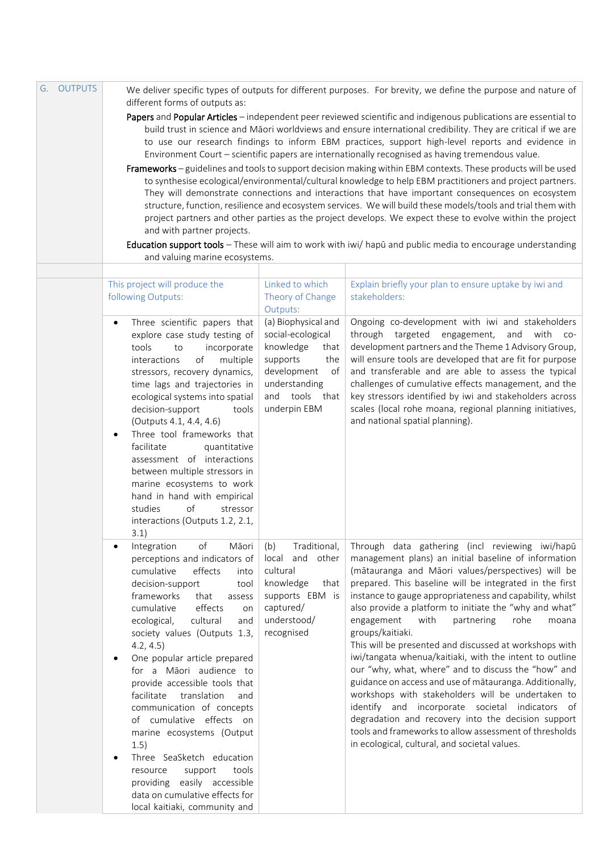| G. OUTPUTS | different forms of outputs as:                                                                                                                                                                                                                                                                                                                                                                                                                                                                                                                                                                                                                                                                                                                                                                                                                                                                                                                                                                                                                                                                                                                                                        |                                                                                                                                                          | We deliver specific types of outputs for different purposes. For brevity, we define the purpose and nature of                                                                                                                                                                                                                                                                                                                                                                                                                                                                                                                                                                                                                                                                                                                                                                                                                           |  |  |
|------------|---------------------------------------------------------------------------------------------------------------------------------------------------------------------------------------------------------------------------------------------------------------------------------------------------------------------------------------------------------------------------------------------------------------------------------------------------------------------------------------------------------------------------------------------------------------------------------------------------------------------------------------------------------------------------------------------------------------------------------------------------------------------------------------------------------------------------------------------------------------------------------------------------------------------------------------------------------------------------------------------------------------------------------------------------------------------------------------------------------------------------------------------------------------------------------------|----------------------------------------------------------------------------------------------------------------------------------------------------------|-----------------------------------------------------------------------------------------------------------------------------------------------------------------------------------------------------------------------------------------------------------------------------------------------------------------------------------------------------------------------------------------------------------------------------------------------------------------------------------------------------------------------------------------------------------------------------------------------------------------------------------------------------------------------------------------------------------------------------------------------------------------------------------------------------------------------------------------------------------------------------------------------------------------------------------------|--|--|
|            | Papers and Popular Articles - independent peer reviewed scientific and indigenous publications are essential to<br>build trust in science and Māori worldviews and ensure international credibility. They are critical if we are<br>to use our research findings to inform EBM practices, support high-level reports and evidence in<br>Environment Court - scientific papers are internationally recognised as having tremendous value.<br>Frameworks - guidelines and tools to support decision making within EBM contexts. These products will be used<br>to synthesise ecological/environmental/cultural knowledge to help EBM practitioners and project partners.<br>They will demonstrate connections and interactions that have important consequences on ecosystem<br>structure, function, resilience and ecosystem services. We will build these models/tools and trial them with<br>project partners and other parties as the project develops. We expect these to evolve within the project<br>and with partner projects.<br>Education support tools - These will aim to work with iwi/ hapū and public media to encourage understanding<br>and valuing marine ecosystems. |                                                                                                                                                          |                                                                                                                                                                                                                                                                                                                                                                                                                                                                                                                                                                                                                                                                                                                                                                                                                                                                                                                                         |  |  |
|            |                                                                                                                                                                                                                                                                                                                                                                                                                                                                                                                                                                                                                                                                                                                                                                                                                                                                                                                                                                                                                                                                                                                                                                                       |                                                                                                                                                          |                                                                                                                                                                                                                                                                                                                                                                                                                                                                                                                                                                                                                                                                                                                                                                                                                                                                                                                                         |  |  |
|            |                                                                                                                                                                                                                                                                                                                                                                                                                                                                                                                                                                                                                                                                                                                                                                                                                                                                                                                                                                                                                                                                                                                                                                                       |                                                                                                                                                          |                                                                                                                                                                                                                                                                                                                                                                                                                                                                                                                                                                                                                                                                                                                                                                                                                                                                                                                                         |  |  |
|            | This project will produce the<br>following Outputs:                                                                                                                                                                                                                                                                                                                                                                                                                                                                                                                                                                                                                                                                                                                                                                                                                                                                                                                                                                                                                                                                                                                                   | Linked to which<br>Theory of Change<br>Outputs:                                                                                                          | Explain briefly your plan to ensure uptake by iwi and<br>stakeholders:                                                                                                                                                                                                                                                                                                                                                                                                                                                                                                                                                                                                                                                                                                                                                                                                                                                                  |  |  |
|            | Three scientific papers that<br>$\bullet$<br>explore case study testing of<br>tools<br>to<br>incorporate<br>of<br>interactions<br>multiple<br>stressors, recovery dynamics,<br>time lags and trajectories in<br>ecological systems into spatial<br>decision-support<br>tools<br>(Outputs 4.1, 4.4, 4.6)<br>Three tool frameworks that<br>facilitate<br>quantitative<br>assessment of interactions<br>between multiple stressors in<br>marine ecosystems to work<br>hand in hand with empirical<br>studies<br>of<br>stressor<br>interactions (Outputs 1.2, 2.1,<br>3.1)                                                                                                                                                                                                                                                                                                                                                                                                                                                                                                                                                                                                                | (a) Biophysical and<br>social-ecological<br>knowledge<br>that<br>supports<br>the<br>development<br>оf<br>understanding<br>and tools that<br>underpin EBM | Ongoing co-development with iwi and stakeholders<br>through targeted<br>engagement,<br>and<br>with co-<br>development partners and the Theme 1 Advisory Group,<br>will ensure tools are developed that are fit for purpose<br>and transferable and are able to assess the typical<br>challenges of cumulative effects management, and the<br>key stressors identified by iwi and stakeholders across<br>scales (local rohe moana, regional planning initiatives,<br>and national spatial planning).                                                                                                                                                                                                                                                                                                                                                                                                                                     |  |  |
|            | Māori<br>of<br>Integration<br>$\bullet$<br>perceptions and indicators of<br>cumulative<br>effects<br>into<br>decision-support<br>tool<br>frameworks<br>that<br>assess<br>cumulative<br>effects<br>on<br>ecological,<br>cultural<br>and<br>society values (Outputs 1.3,<br>4.2, 4.5)<br>One popular article prepared<br>for a Māori audience to<br>provide accessible tools that<br>facilitate<br>translation<br>and<br>communication of concepts<br>of cumulative effects on<br>marine ecosystems (Output<br>1.5)<br>Three SeaSketch education<br>support<br>tools<br>resource<br>providing easily accessible<br>data on cumulative effects for<br>local kaitiaki, community and                                                                                                                                                                                                                                                                                                                                                                                                                                                                                                      | Traditional,<br>(b)<br>local and<br>other<br>cultural<br>knowledge<br>that<br>supports EBM is<br>captured/<br>understood/<br>recognised                  | Through data gathering (incl reviewing iwi/hapū<br>management plans) an initial baseline of information<br>(mātauranga and Māori values/perspectives) will be<br>prepared. This baseline will be integrated in the first<br>instance to gauge appropriateness and capability, whilst<br>also provide a platform to initiate the "why and what"<br>engagement<br>with<br>partnering<br>rohe<br>moana<br>groups/kaitiaki.<br>This will be presented and discussed at workshops with<br>iwi/tangata whenua/kaitiaki, with the intent to outline<br>our "why, what, where" and to discuss the "how" and<br>guidance on access and use of mātauranga. Additionally,<br>workshops with stakeholders will be undertaken to<br>identify and incorporate societal indicators of<br>degradation and recovery into the decision support<br>tools and frameworks to allow assessment of thresholds<br>in ecological, cultural, and societal values. |  |  |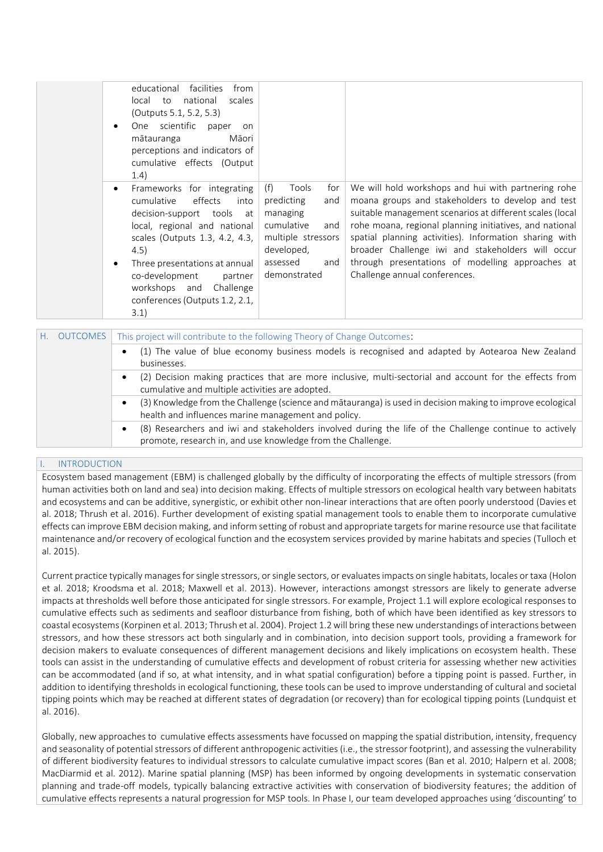|           | educational<br>facilities<br>from<br>national<br>scales<br>local to<br>(Outputs 5.1, 5.2, 5.3)<br>One scientific<br>paper<br>on<br>mātauranga<br>Māori<br>perceptions and indicators of<br>cumulative effects (Output<br>1.4)                                                                            |                                                                                                                                                  |                                                                                                                                                                                                                                                                                                                                                                                                                                     |
|-----------|----------------------------------------------------------------------------------------------------------------------------------------------------------------------------------------------------------------------------------------------------------------------------------------------------------|--------------------------------------------------------------------------------------------------------------------------------------------------|-------------------------------------------------------------------------------------------------------------------------------------------------------------------------------------------------------------------------------------------------------------------------------------------------------------------------------------------------------------------------------------------------------------------------------------|
| $\bullet$ | Frameworks for integrating<br>effects<br>cumulative<br>into<br>decision-support tools at<br>local, regional and national<br>scales (Outputs 1.3, 4.2, 4.3,<br>4.5)<br>Three presentations at annual<br>co-development<br>partner<br>workshops and<br>Challenge<br>conferences (Outputs 1.2, 2.1,<br>3.1) | (f)<br>Tools<br>for<br>predicting<br>and<br>managing<br>cumulative<br>and<br>multiple stressors<br>developed,<br>assessed<br>and<br>demonstrated | We will hold workshops and hui with partnering rohe<br>moana groups and stakeholders to develop and test<br>suitable management scenarios at different scales (local<br>rohe moana, regional planning initiatives, and national<br>spatial planning activities). Information sharing with<br>broader Challenge iwi and stakeholders will occur<br>through presentations of modelling approaches at<br>Challenge annual conferences. |

| H. OUTCOMES<br>This project will contribute to the following Theory of Change Outcomes: |  |                                                                                                                                                                        |  |
|-----------------------------------------------------------------------------------------|--|------------------------------------------------------------------------------------------------------------------------------------------------------------------------|--|
|                                                                                         |  | (1) The value of blue economy business models is recognised and adapted by Aotearoa New Zealand<br>businesses.                                                         |  |
|                                                                                         |  | (2) Decision making practices that are more inclusive, multi-sectorial and account for the effects from<br>cumulative and multiple activities are adopted.             |  |
|                                                                                         |  | (3) Knowledge from the Challenge (science and mātauranga) is used in decision making to improve ecological<br>health and influences marine management and policy.      |  |
|                                                                                         |  | (8) Researchers and iwi and stakeholders involved during the life of the Challenge continue to actively<br>promote, research in, and use knowledge from the Challenge. |  |

#### **INTRODUCTION**

Ecosystem based management (EBM) is challenged globally by the difficulty of incorporating the effects of multiple stressors (from human activities both on land and sea) into decision making. Effects of multiple stressors on ecological health vary between habitats and ecosystems and can be additive, synergistic, or exhibit other non-linear interactions that are often poorly understood (Davies et al. 2018; Thrush et al. 2016). Further development of existing spatial management tools to enable them to incorporate cumulative effects can improve EBM decision making, and inform setting of robust and appropriate targets for marine resource use that facilitate maintenance and/or recovery of ecological function and the ecosystem services provided by marine habitats and species (Tulloch et al. 2015).

Current practice typically manages for single stressors, or single sectors, or evaluates impacts on single habitats, locales or taxa (Holon et al. 2018; Kroodsma et al. 2018; Maxwell et al. 2013). However, interactions amongst stressors are likely to generate adverse impacts at thresholds well before those anticipated for single stressors. For example, Project 1.1 will explore ecological responses to cumulative effects such as sediments and seafloor disturbance from fishing, both of which have been identified as key stressors to coastal ecosystems (Korpinen et al. 2013; Thrush et al. 2004). Project 1.2 will bring these new understandings of interactions between stressors, and how these stressors act both singularly and in combination, into decision support tools, providing a framework for decision makers to evaluate consequences of different management decisions and likely implications on ecosystem health. These tools can assist in the understanding of cumulative effects and development of robust criteria for assessing whether new activities can be accommodated (and if so, at what intensity, and in what spatial configuration) before a tipping point is passed. Further, in addition to identifying thresholds in ecological functioning, these tools can be used to improve understanding of cultural and societal tipping points which may be reached at different states of degradation (or recovery) than for ecological tipping points (Lundquist et al. 2016).

Globally, new approaches to cumulative effects assessments have focussed on mapping the spatial distribution, intensity, frequency and seasonality of potential stressors of different anthropogenic activities (i.e., the stressor footprint), and assessing the vulnerability of different biodiversity features to individual stressors to calculate cumulative impact scores (Ban et al. 2010; Halpern et al. 2008; MacDiarmid et al. 2012). Marine spatial planning (MSP) has been informed by ongoing developments in systematic conservation planning and trade-off models, typically balancing extractive activities with conservation of biodiversity features; the addition of cumulative effects represents a natural progression for MSP tools. In Phase I, our team developed approaches using 'discounting' to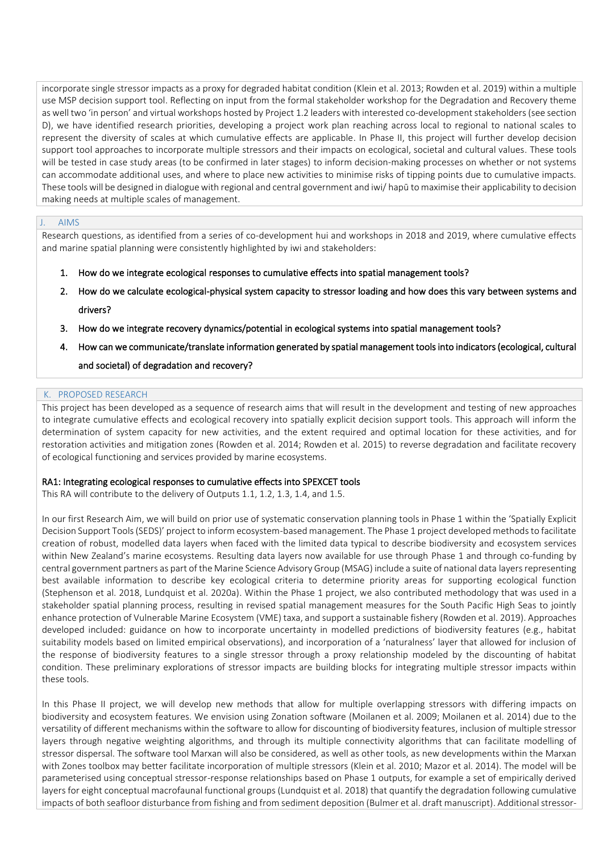incorporate single stressor impacts as a proxy for degraded habitat condition (Klein et al. 2013; Rowden et al. 2019) within a multiple use MSP decision support tool. Reflecting on input from the formal stakeholder workshop for the Degradation and Recovery theme as well two 'in person' and virtual workshops hosted by Project 1.2 leaders with interested co-development stakeholders (see section D), we have identified research priorities, developing a project work plan reaching across local to regional to national scales to represent the diversity of scales at which cumulative effects are applicable. In Phase II, this project will further develop decision support tool approaches to incorporate multiple stressors and their impacts on ecological, societal and cultural values. These tools will be tested in case study areas (to be confirmed in later stages) to inform decision-making processes on whether or not systems can accommodate additional uses, and where to place new activities to minimise risks of tipping points due to cumulative impacts. These tools will be designed in dialogue with regional and central government and iwi/ hapū to maximise their applicability to decision making needs at multiple scales of management.

#### J. AIMS

Research questions, as identified from a series of co-development hui and workshops in 2018 and 2019, where cumulative effects and marine spatial planning were consistently highlighted by iwi and stakeholders:

- 1. How do we integrate ecological responses to cumulative effects into spatial management tools?
- 2. How do we calculate ecological-physical system capacity to stressor loading and how does this vary between systems and drivers?
- 3. How do we integrate recovery dynamics/potential in ecological systems into spatial management tools?
- 4. How can we communicate/translate information generated by spatial management tools into indicators (ecological, cultural

#### and societal) of degradation and recovery?

#### K. PROPOSED RESEARCH

This project has been developed as a sequence of research aims that will result in the development and testing of new approaches to integrate cumulative effects and ecological recovery into spatially explicit decision support tools. This approach will inform the determination of system capacity for new activities, and the extent required and optimal location for these activities, and for restoration activities and mitigation zones (Rowden et al. 2014; Rowden et al. 2015) to reverse degradation and facilitate recovery of ecological functioning and services provided by marine ecosystems.

#### RA1: Integrating ecological responses to cumulative effects into SPEXCET tools

This RA will contribute to the delivery of Outputs 1.1, 1.2, 1.3, 1.4, and 1.5.

In our first Research Aim, we will build on prior use of systematic conservation planning tools in Phase 1 within the 'Spatially Explicit Decision Support Tools (SEDS)' project to inform ecosystem-based management. The Phase 1 project developed methods to facilitate creation of robust, modelled data layers when faced with the limited data typical to describe biodiversity and ecosystem services within New Zealand's marine ecosystems. Resulting data layers now available for use through Phase 1 and through co-funding by central government partners as part of the Marine Science Advisory Group (MSAG) include a suite of national data layers representing best available information to describe key ecological criteria to determine priority areas for supporting ecological function (Stephenson et al. 2018, Lundquist et al. 2020a). Within the Phase 1 project, we also contributed methodology that was used in a stakeholder spatial planning process, resulting in revised spatial management measures for the South Pacific High Seas to jointly enhance protection of Vulnerable Marine Ecosystem (VME) taxa, and support a sustainable fishery (Rowden et al. 2019). Approaches developed included: guidance on how to incorporate uncertainty in modelled predictions of biodiversity features (e.g., habitat suitability models based on limited empirical observations), and incorporation of a 'naturalness' layer that allowed for inclusion of the response of biodiversity features to a single stressor through a proxy relationship modeled by the discounting of habitat condition. These preliminary explorations of stressor impacts are building blocks for integrating multiple stressor impacts within these tools.

In this Phase II project, we will develop new methods that allow for multiple overlapping stressors with differing impacts on biodiversity and ecosystem features. We envision using Zonation software (Moilanen et al. 2009; Moilanen et al. 2014) due to the versatility of different mechanisms within the software to allow for discounting of biodiversity features, inclusion of multiple stressor layers through negative weighting algorithms, and through its multiple connectivity algorithms that can facilitate modelling of stressor dispersal. The software tool Marxan will also be considered, as well as other tools, as new developments within the Marxan with Zones toolbox may better facilitate incorporation of multiple stressors (Klein et al. 2010; Mazor et al. 2014). The model will be parameterised using conceptual stressor-response relationships based on Phase 1 outputs, for example a set of empirically derived layers for eight conceptual macrofaunal functional groups (Lundquist et al. 2018) that quantify the degradation following cumulative impacts of both seafloor disturbance from fishing and from sediment deposition (Bulmer et al. draft manuscript). Additional stressor-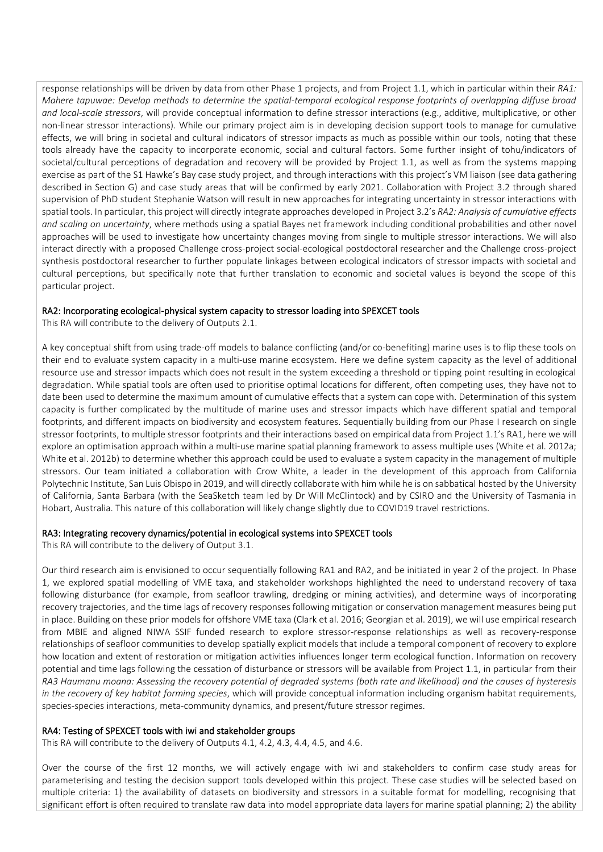response relationships will be driven by data from other Phase 1 projects, and from Project 1.1, which in particular within their *RA1: Mahere tapuwae: Develop methods to determine the spatial-temporal ecological response footprints of overlapping diffuse broad and local-scale stressors*, will provide conceptual information to define stressor interactions (e.g., additive, multiplicative, or other non-linear stressor interactions). While our primary project aim is in developing decision support tools to manage for cumulative effects, we will bring in societal and cultural indicators of stressor impacts as much as possible within our tools, noting that these tools already have the capacity to incorporate economic, social and cultural factors. Some further insight of tohu/indicators of societal/cultural perceptions of degradation and recovery will be provided by Project 1.1, as well as from the systems mapping exercise as part of the S1 Hawke's Bay case study project, and through interactions with this project's VM liaison (see data gathering described in Section G) and case study areas that will be confirmed by early 2021. Collaboration with Project 3.2 through shared supervision of PhD student Stephanie Watson will result in new approaches for integrating uncertainty in stressor interactions with spatial tools. In particular, this project will directly integrate approaches developed in Project 3.2's *RA2: Analysis of cumulative effects and scaling on uncertainty*, where methods using a spatial Bayes net framework including conditional probabilities and other novel approaches will be used to investigate how uncertainty changes moving from single to multiple stressor interactions. We will also interact directly with a proposed Challenge cross-project social-ecological postdoctoral researcher and the Challenge cross-project synthesis postdoctoral researcher to further populate linkages between ecological indicators of stressor impacts with societal and cultural perceptions, but specifically note that further translation to economic and societal values is beyond the scope of this particular project.

#### RA2: Incorporating ecological-physical system capacity to stressor loading into SPEXCET tools

This RA will contribute to the delivery of Outputs 2.1.

A key conceptual shift from using trade-off models to balance conflicting (and/or co-benefiting) marine uses is to flip these tools on their end to evaluate system capacity in a multi-use marine ecosystem. Here we define system capacity as the level of additional resource use and stressor impacts which does not result in the system exceeding a threshold or tipping point resulting in ecological degradation. While spatial tools are often used to prioritise optimal locations for different, often competing uses, they have not to date been used to determine the maximum amount of cumulative effects that a system can cope with. Determination of this system capacity is further complicated by the multitude of marine uses and stressor impacts which have different spatial and temporal footprints, and different impacts on biodiversity and ecosystem features. Sequentially building from our Phase I research on single stressor footprints, to multiple stressor footprints and their interactions based on empirical data from Project 1.1's RA1, here we will explore an optimisation approach within a multi-use marine spatial planning framework to assess multiple uses (White et al. 2012a; White et al. 2012b) to determine whether this approach could be used to evaluate a system capacity in the management of multiple stressors. Our team initiated a collaboration with Crow White, a leader in the development of this approach from California Polytechnic Institute, San Luis Obispo in 2019, and will directly collaborate with him while he is on sabbatical hosted by the University of California, Santa Barbara (with the SeaSketch team led by Dr Will McClintock) and by CSIRO and the University of Tasmania in Hobart, Australia. This nature of this collaboration will likely change slightly due to COVID19 travel restrictions.

#### RA3: Integrating recovery dynamics/potential in ecological systems into SPEXCET tools

This RA will contribute to the delivery of Output 3.1.

Our third research aim is envisioned to occur sequentially following RA1 and RA2, and be initiated in year 2 of the project. In Phase 1, we explored spatial modelling of VME taxa, and stakeholder workshops highlighted the need to understand recovery of taxa following disturbance (for example, from seafloor trawling, dredging or mining activities), and determine ways of incorporating recovery trajectories, and the time lags of recovery responses following mitigation or conservation management measures being put in place. Building on these prior models for offshore VME taxa (Clark et al. 2016; Georgian et al. 2019), we will use empirical research from MBIE and aligned NIWA SSIF funded research to explore stressor-response relationships as well as recovery-response relationships of seafloor communities to develop spatially explicit models that include a temporal component of recovery to explore how location and extent of restoration or mitigation activities influences longer term ecological function. Information on recovery potential and time lags following the cessation of disturbance or stressors will be available from Project 1.1, in particular from their *RA3 Haumanu moana: Assessing the recovery potential of degraded systems (both rate and likelihood) and the causes of hysteresis in the recovery of key habitat forming species*, which will provide conceptual information including organism habitat requirements, species-species interactions, meta-community dynamics, and present/future stressor regimes.

#### RA4: Testing of SPEXCET tools with iwi and stakeholder groups

This RA will contribute to the delivery of Outputs 4.1, 4.2, 4.3, 4.4, 4.5, and 4.6.

Over the course of the first 12 months, we will actively engage with iwi and stakeholders to confirm case study areas for parameterising and testing the decision support tools developed within this project. These case studies will be selected based on multiple criteria: 1) the availability of datasets on biodiversity and stressors in a suitable format for modelling, recognising that significant effort is often required to translate raw data into model appropriate data layers for marine spatial planning; 2) the ability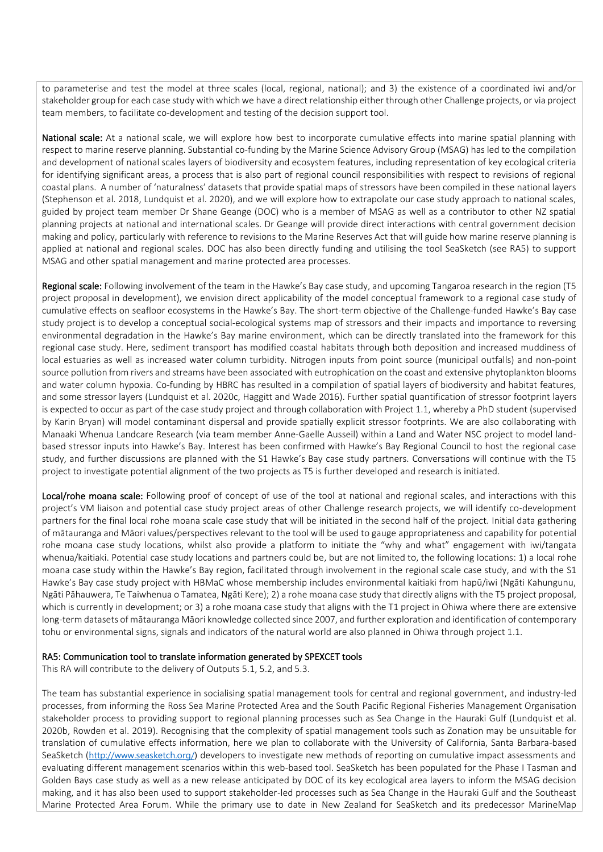to parameterise and test the model at three scales (local, regional, national); and 3) the existence of a coordinated iwi and/or stakeholder group for each case study with which we have a direct relationship either through other Challenge projects, or via project team members, to facilitate co-development and testing of the decision support tool.

National scale: At a national scale, we will explore how best to incorporate cumulative effects into marine spatial planning with respect to marine reserve planning. Substantial co-funding by the Marine Science Advisory Group (MSAG) has led to the compilation and development of national scales layers of biodiversity and ecosystem features, including representation of key ecological criteria for identifying significant areas, a process that is also part of regional council responsibilities with respect to revisions of regional coastal plans. A number of 'naturalness' datasets that provide spatial maps of stressors have been compiled in these national layers (Stephenson et al. 2018, Lundquist et al. 2020), and we will explore how to extrapolate our case study approach to national scales, guided by project team member Dr Shane Geange (DOC) who is a member of MSAG as well as a contributor to other NZ spatial planning projects at national and international scales. Dr Geange will provide direct interactions with central government decision making and policy, particularly with reference to revisions to the Marine Reserves Act that will guide how marine reserve planning is applied at national and regional scales. DOC has also been directly funding and utilising the tool SeaSketch (see RA5) to support MSAG and other spatial management and marine protected area processes.

Regional scale: Following involvement of the team in the Hawke's Bay case study, and upcoming Tangaroa research in the region (T5 project proposal in development), we envision direct applicability of the model conceptual framework to a regional case study of cumulative effects on seafloor ecosystems in the Hawke's Bay. The short-term objective of the Challenge-funded Hawke's Bay case study project is to develop a conceptual social-ecological systems map of stressors and their impacts and importance to reversing environmental degradation in the Hawke's Bay marine environment, which can be directly translated into the framework for this regional case study. Here, sediment transport has modified coastal habitats through both deposition and increased muddiness of local estuaries as well as increased water column turbidity. Nitrogen inputs from point source (municipal outfalls) and non-point source pollution from rivers and streams have been associated with eutrophication on the coast and extensive phytoplankton blooms and water column hypoxia. Co-funding by HBRC has resulted in a compilation of spatial layers of biodiversity and habitat features, and some stressor layers (Lundquist et al. 2020c, Haggitt and Wade 2016). Further spatial quantification of stressor footprint layers is expected to occur as part of the case study project and through collaboration with Project 1.1, whereby a PhD student (supervised by Karin Bryan) will model contaminant dispersal and provide spatially explicit stressor footprints. We are also collaborating with Manaaki Whenua Landcare Research (via team member Anne-Gaelle Ausseil) within a Land and Water NSC project to model landbased stressor inputs into Hawke's Bay. Interest has been confirmed with Hawke's Bay Regional Council to host the regional case study, and further discussions are planned with the S1 Hawke's Bay case study partners. Conversations will continue with the T5 project to investigate potential alignment of the two projects as T5 is further developed and research is initiated.

Local/rohe moana scale: Following proof of concept of use of the tool at national and regional scales, and interactions with this project's VM liaison and potential case study project areas of other Challenge research projects, we will identify co-development partners for the final local rohe moana scale case study that will be initiated in the second half of the project. Initial data gathering of mātauranga and Māori values/perspectives relevant to the tool will be used to gauge appropriateness and capability for potential rohe moana case study locations, whilst also provide a platform to initiate the "why and what" engagement with iwi/tangata whenua/kaitiaki. Potential case study locations and partners could be, but are not limited to, the following locations: 1) a local rohe moana case study within the Hawke's Bay region, facilitated through involvement in the regional scale case study, and with the S1 Hawke's Bay case study project with HBMaC whose membership includes environmental kaitiaki from hapū/iwi (Ngāti Kahungunu, Ngāti Pāhauwera, Te Taiwhenua o Tamatea, Ngāti Kere); 2) a rohe moana case study that directly aligns with the T5 project proposal, which is currently in development; or 3) a rohe moana case study that aligns with the T1 project in Ohiwa where there are extensive long-term datasets of mātauranga Māori knowledge collected since 2007, and further exploration and identification of contemporary tohu or environmental signs, signals and indicators of the natural world are also planned in Ohiwa through project 1.1.

#### RA5: Communication tool to translate information generated by SPEXCET tools

This RA will contribute to the delivery of Outputs 5.1, 5.2, and 5.3.

The team has substantial experience in socialising spatial management tools for central and regional government, and industry-led processes, from informing the Ross Sea Marine Protected Area and the South Pacific Regional Fisheries Management Organisation stakeholder process to providing support to regional planning processes such as Sea Change in the Hauraki Gulf (Lundquist et al. 2020b, Rowden et al. 2019). Recognising that the complexity of spatial management tools such as Zonation may be unsuitable for translation of cumulative effects information, here we plan to collaborate with the University of California, Santa Barbara-based SeaSketch ([http://www.seasketch.org/\)](http://www.seasketch.org/) developers to investigate new methods of reporting on cumulative impact assessments and evaluating different management scenarios within this web-based tool. SeaSketch has been populated for the Phase I Tasman and Golden Bays case study as well as a new release anticipated by DOC of its key ecological area layers to inform the MSAG decision making, and it has also been used to support stakeholder-led processes such as Sea Change in the Hauraki Gulf and the Southeast Marine Protected Area Forum. While the primary use to date in New Zealand for SeaSketch and its predecessor MarineMap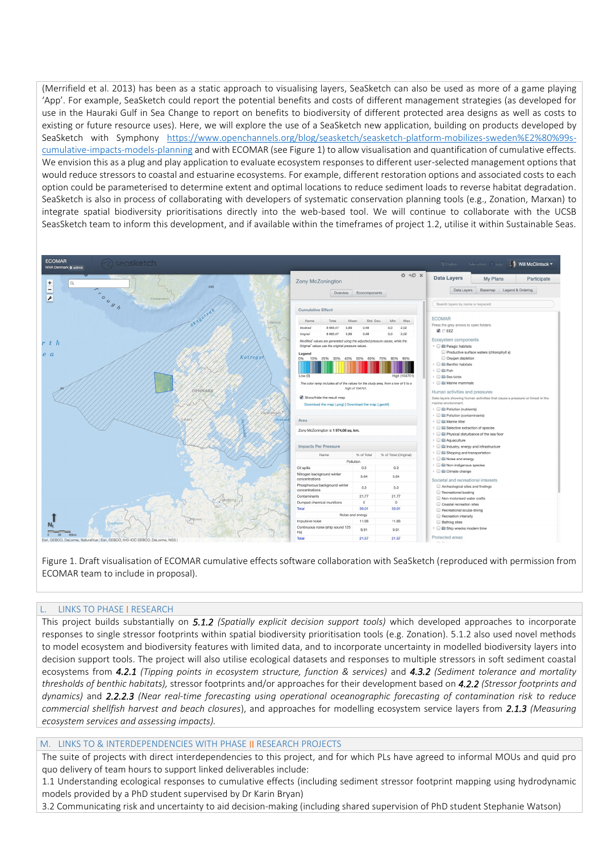(Merrifield et al. 2013) has been as a static approach to visualising layers, SeaSketch can also be used as more of a game playing 'App'. For example, SeaSketch could report the potential benefits and costs of different management strategies (as developed for use in the Hauraki Gulf in Sea Change to report on benefits to biodiversity of different protected area designs as well as costs to existing or future resource uses). Here, we will explore the use of a SeaSketch new application, building on products developed by SeaSketch with Symphony [https://www.openchannels.org/blog/seasketch/seasketch-platform-mobilizes-sweden%E2%80%99s](https://aus01.safelinks.protection.outlook.com/?url=https%3A%2F%2Fwww.openchannels.org%2Fblog%2Fseasketch%2Fseasketch-platform-mobilizes-sweden%25E2%2580%2599s-cumulative-impacts-models-planning&data=02%7C01%7CCarolyn.Lundquist%40niwa.co.nz%7C8d12e3518832411052db08d75bf9cad0%7C41caed736a0c468aba499ff6aafd1c77%7C0%7C1%7C637079000746666146&sdata=mLlFJmd8YjbOna%2ByqKRZKlg4e8tVMvr%2FSGtlIxn5qKY%3D&reserved=0)[cumulative-impacts-models-planning](https://aus01.safelinks.protection.outlook.com/?url=https%3A%2F%2Fwww.openchannels.org%2Fblog%2Fseasketch%2Fseasketch-platform-mobilizes-sweden%25E2%2580%2599s-cumulative-impacts-models-planning&data=02%7C01%7CCarolyn.Lundquist%40niwa.co.nz%7C8d12e3518832411052db08d75bf9cad0%7C41caed736a0c468aba499ff6aafd1c77%7C0%7C1%7C637079000746666146&sdata=mLlFJmd8YjbOna%2ByqKRZKlg4e8tVMvr%2FSGtlIxn5qKY%3D&reserved=0) and with ECOMAR (see Figure 1) to allow visualisation and quantification of cumulative effects. We envision this as a plug and play application to evaluate ecosystem responses to different user-selected management options that would reduce stressors to coastal and estuarine ecosystems. For example, different restoration options and associated costs to each option could be parameterised to determine extent and optimal locations to reduce sediment loads to reverse habitat degradation. SeaSketch is also in process of collaborating with developers of systematic conservation planning tools (e.g., Zonation, Marxan) to integrate spatial biodiversity prioritisations directly into the web-based tool. We will continue to collaborate with the UCSB SeasSketch team to inform this development, and if available within the timeframes of project 1.2, utilise it within Sustainable Seas.



Figure 1. Draft visualisation of ECOMAR cumulative effects software collaboration with SeaSketch (reproduced with permission from ECOMAR team to include in proposal).

#### L. LINKS TO PHASE I RESEARCH

This project builds substantially on *5.1.2 (Spatially explicit decision support tools)* which developed approaches to incorporate responses to single stressor footprints within spatial biodiversity prioritisation tools (e.g. Zonation). 5.1.2 also used novel methods to model ecosystem and biodiversity features with limited data, and to incorporate uncertainty in modelled biodiversity layers into decision support tools. The project will also utilise ecological datasets and responses to multiple stressors in soft sediment coastal ecosystems from *4.2.1 (Tipping points in ecosystem structure, function & services)* and *4.3.2 (Sediment tolerance and mortality thresholds of benthic habitats),* stressor footprints and/or approaches for their development based on *4.2.2 (Stressor footprints and dynamics)* and *2.2.2.3 (Near real-time forecasting using operational oceanographic forecasting of contamination risk to reduce commercial shellfish harvest and beach closures*), and approaches for modelling ecosystem service layers from *2.1.3 (Measuring ecosystem services and assessing impacts).*

#### M. LINKS TO & INTERDEPENDENCIES WITH PHASE II RESEARCH PROJECTS

The suite of projects with direct interdependencies to this project, and for which PLs have agreed to informal MOUs and quid pro quo delivery of team hours to support linked deliverables include:

1.1 Understanding ecological responses to cumulative effects (including sediment stressor footprint mapping using hydrodynamic models provided by a PhD student supervised by Dr Karin Bryan)

3.2 Communicating risk and uncertainty to aid decision-making (including shared supervision of PhD student Stephanie Watson)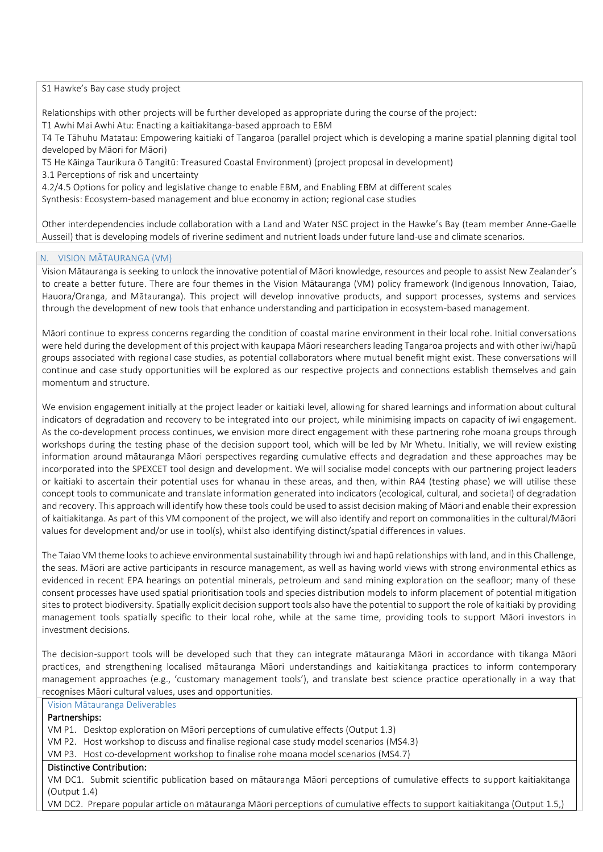#### S1 Hawke's Bay case study project

Relationships with other projects will be further developed as appropriate during the course of the project:

T1 Awhi Mai Awhi Atu: Enacting a kaitiakitanga-based approach to EBM

T4 Te Tāhuhu Matatau: Empowering kaitiaki of Tangaroa (parallel project which is developing a marine spatial planning digital tool developed by Māori for Māori)

T5 He Kāinga Taurikura ō Tangitū: Treasured Coastal Environment) (project proposal in development)

3.1 Perceptions of risk and uncertainty

4.2/4.5 Options for policy and legislative change to enable EBM, and Enabling EBM at different scales

Synthesis: Ecosystem-based management and blue economy in action; regional case studies

Other interdependencies include collaboration with a Land and Water NSC project in the Hawke's Bay (team member Anne-Gaelle Ausseil) that is developing models of riverine sediment and nutrient loads under future land-use and climate scenarios.

#### N. VISION MĀTAURANGA (VM)

Vision Mātauranga is seeking to unlock the innovative potential of Māori knowledge, resources and people to assist New Zealander's to create a better future. There are four themes in the Vision Mātauranga (VM) policy framework (Indigenous Innovation, Taiao, Hauora/Oranga, and Mātauranga). This project will develop innovative products, and support processes, systems and services through the development of new tools that enhance understanding and participation in ecosystem-based management.

Māori continue to express concerns regarding the condition of coastal marine environment in their local rohe. Initial conversations were held during the development of this project with kaupapa Māori researchers leading Tangaroa projects and with other iwi/hapū groups associated with regional case studies, as potential collaborators where mutual benefit might exist. These conversations will continue and case study opportunities will be explored as our respective projects and connections establish themselves and gain momentum and structure.

We envision engagement initially at the project leader or kaitiaki level, allowing for shared learnings and information about cultural indicators of degradation and recovery to be integrated into our project, while minimising impacts on capacity of iwi engagement. As the co-development process continues, we envision more direct engagement with these partnering rohe moana groups through workshops during the testing phase of the decision support tool, which will be led by Mr Whetu. Initially, we will review existing information around mātauranga Māori perspectives regarding cumulative effects and degradation and these approaches may be incorporated into the SPEXCET tool design and development. We will socialise model concepts with our partnering project leaders or kaitiaki to ascertain their potential uses for whanau in these areas, and then, within RA4 (testing phase) we will utilise these concept tools to communicate and translate information generated into indicators (ecological, cultural, and societal) of degradation and recovery. This approach will identify how these tools could be used to assist decision making of Māori and enable their expression of kaitiakitanga. As part of this VM component of the project, we will also identify and report on commonalities in the cultural/Māori values for development and/or use in tool(s), whilst also identifying distinct/spatial differences in values.

The Taiao VM theme looks to achieve environmental sustainability through iwi and hapū relationships with land, and in this Challenge, the seas. Māori are active participants in resource management, as well as having world views with strong environmental ethics as evidenced in recent EPA hearings on potential minerals, petroleum and sand mining exploration on the seafloor; many of these consent processes have used spatial prioritisation tools and species distribution models to inform placement of potential mitigation sites to protect biodiversity. Spatially explicit decision support tools also have the potential to support the role of kaitiaki by providing management tools spatially specific to their local rohe, while at the same time, providing tools to support Māori investors in investment decisions.

The decision-support tools will be developed such that they can integrate mātauranga Māori in accordance with tikanga Māori practices, and strengthening localised mātauranga Māori understandings and kaitiakitanga practices to inform contemporary management approaches (e.g., 'customary management tools'), and translate best science practice operationally in a way that recognises Māori cultural values, uses and opportunities.

Vision Mātauranga Deliverables

#### Partnerships:

VM P1. Desktop exploration on Māori perceptions of cumulative effects (Output 1.3)

VM P2. Host workshop to discuss and finalise regional case study model scenarios (MS4.3)

VM P3. Host co-development workshop to finalise rohe moana model scenarios (MS4.7)

#### Distinctive Contribution:

VM DC1. Submit scientific publication based on mātauranga Māori perceptions of cumulative effects to support kaitiakitanga (Output 1.4)

VM DC2. Prepare popular article on mātauranga Māori perceptions of cumulative effects to support kaitiakitanga (Output 1.5,)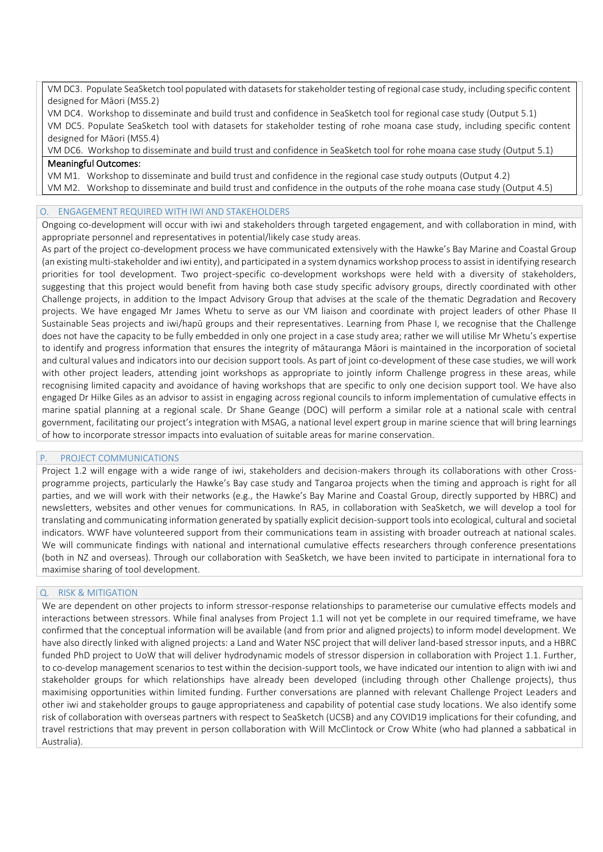VM DC3. Populate SeaSketch tool populated with datasets for stakeholder testing of regional case study, including specific content designed for Māori (MS5.2)

VM DC4. Workshop to disseminate and build trust and confidence in SeaSketch tool for regional case study (Output 5.1) VM DC5. Populate SeaSketch tool with datasets for stakeholder testing of rohe moana case study, including specific content designed for Māori (MS5.4)

VM DC6. Workshop to disseminate and build trust and confidence in SeaSketch tool for rohe moana case study (Output 5.1) Meaningful Outcomes:

VM M1. Workshop to disseminate and build trust and confidence in the regional case study outputs (Output 4.2)

VM M2. Workshop to disseminate and build trust and confidence in the outputs of the rohe moana case study (Output 4.5)

#### O. ENGAGEMENT REQUIRED WITH IWI AND STAKEHOLDERS

Ongoing co-development will occur with iwi and stakeholders through targeted engagement, and with collaboration in mind, with appropriate personnel and representatives in potential/likely case study areas.

As part of the project co-development process we have communicated extensively with the Hawke's Bay Marine and Coastal Group (an existing multi-stakeholder and iwi entity), and participated in a system dynamics workshop processto assist in identifying research priorities for tool development. Two project-specific co-development workshops were held with a diversity of stakeholders, suggesting that this project would benefit from having both case study specific advisory groups, directly coordinated with other Challenge projects, in addition to the Impact Advisory Group that advises at the scale of the thematic Degradation and Recovery projects. We have engaged Mr James Whetu to serve as our VM liaison and coordinate with project leaders of other Phase II Sustainable Seas projects and iwi/hapū groups and their representatives. Learning from Phase I, we recognise that the Challenge does not have the capacity to be fully embedded in only one project in a case study area; rather we will utilise Mr Whetu's expertise to identify and progress information that ensures the integrity of mātauranga Māori is maintained in the incorporation of societal and cultural values and indicators into our decision support tools. As part of joint co-development of these case studies, we will work with other project leaders, attending joint workshops as appropriate to jointly inform Challenge progress in these areas, while recognising limited capacity and avoidance of having workshops that are specific to only one decision support tool. We have also engaged Dr Hilke Giles as an advisor to assist in engaging across regional councils to inform implementation of cumulative effects in marine spatial planning at a regional scale. Dr Shane Geange (DOC) will perform a similar role at a national scale with central government, facilitating our project's integration with MSAG, a national level expert group in marine science that will bring learnings of how to incorporate stressor impacts into evaluation of suitable areas for marine conservation.

#### PROJECT COMMUNICATIONS

Project 1.2 will engage with a wide range of iwi, stakeholders and decision-makers through its collaborations with other Crossprogramme projects, particularly the Hawke's Bay case study and Tangaroa projects when the timing and approach is right for all parties, and we will work with their networks (e.g., the Hawke's Bay Marine and Coastal Group, directly supported by HBRC) and newsletters, websites and other venues for communications. In RA5, in collaboration with SeaSketch, we will develop a tool for translating and communicating information generated by spatially explicit decision-support tools into ecological, cultural and societal indicators. WWF have volunteered support from their communications team in assisting with broader outreach at national scales. We will communicate findings with national and international cumulative effects researchers through conference presentations (both in NZ and overseas). Through our collaboration with SeaSketch, we have been invited to participate in international fora to maximise sharing of tool development.

#### Q. RISK & MITIGATION

We are dependent on other projects to inform stressor-response relationships to parameterise our cumulative effects models and interactions between stressors. While final analyses from Project 1.1 will not yet be complete in our required timeframe, we have confirmed that the conceptual information will be available (and from prior and aligned projects) to inform model development. We have also directly linked with aligned projects: a Land and Water NSC project that will deliver land-based stressor inputs, and a HBRC funded PhD project to UoW that will deliver hydrodynamic models of stressor dispersion in collaboration with Project 1.1. Further, to co-develop management scenarios to test within the decision-support tools, we have indicated our intention to align with iwi and stakeholder groups for which relationships have already been developed (including through other Challenge projects), thus maximising opportunities within limited funding. Further conversations are planned with relevant Challenge Project Leaders and other iwi and stakeholder groups to gauge appropriateness and capability of potential case study locations. We also identify some risk of collaboration with overseas partners with respect to SeaSketch (UCSB) and any COVID19 implications for their cofunding, and travel restrictions that may prevent in person collaboration with Will McClintock or Crow White (who had planned a sabbatical in Australia).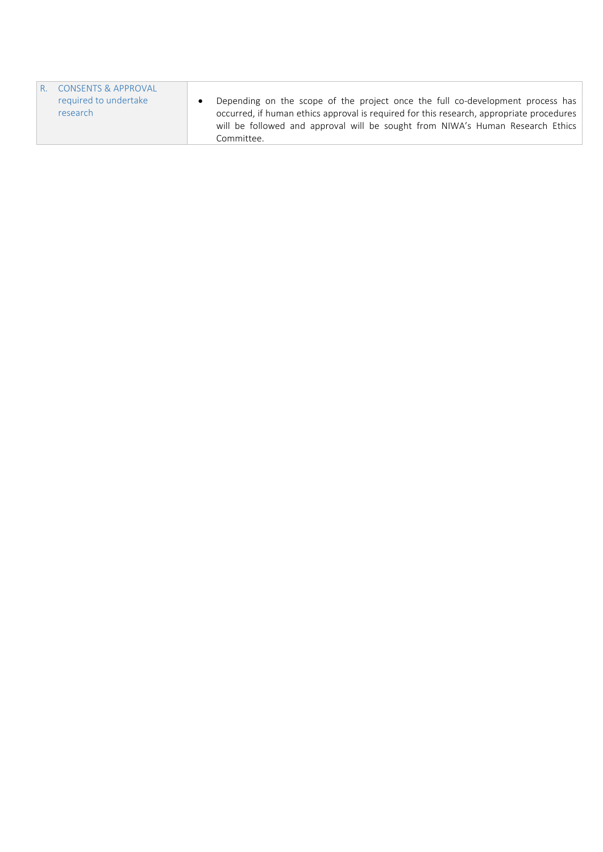| R. CONSENTS & APPROVAL |                                                                                          |
|------------------------|------------------------------------------------------------------------------------------|
| required to undertake  | Depending on the scope of the project once the full co-development process has           |
| research               | occurred, if human ethics approval is required for this research, appropriate procedures |
|                        | will be followed and approval will be sought from NIWA's Human Research Ethics           |
|                        | Committee.                                                                               |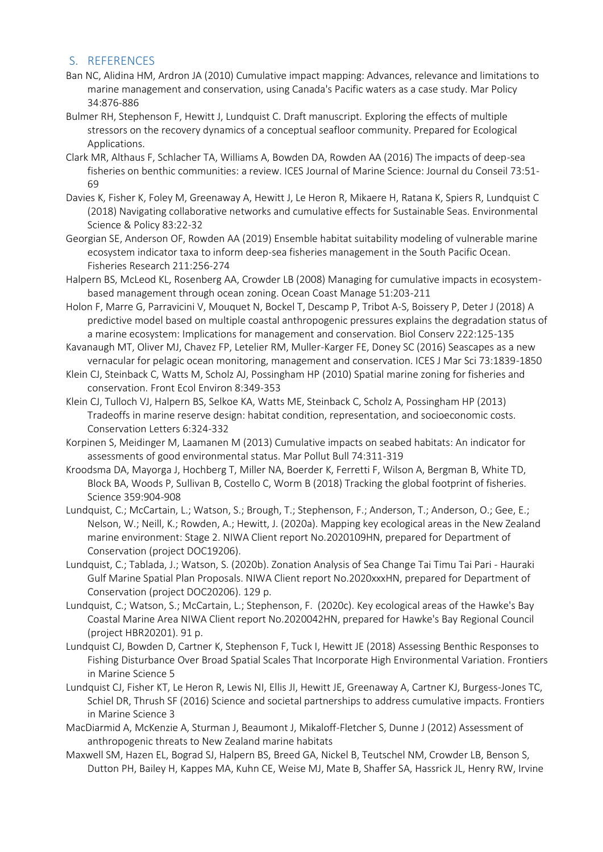### S. REFERENCES

- Ban NC, Alidina HM, Ardron JA (2010) Cumulative impact mapping: Advances, relevance and limitations to marine management and conservation, using Canada's Pacific waters as a case study. Mar Policy 34:876-886
- Bulmer RH, Stephenson F, Hewitt J, Lundquist C. Draft manuscript. Exploring the effects of multiple stressors on the recovery dynamics of a conceptual seafloor community. Prepared for Ecological Applications.
- Clark MR, Althaus F, Schlacher TA, Williams A, Bowden DA, Rowden AA (2016) The impacts of deep-sea fisheries on benthic communities: a review. ICES Journal of Marine Science: Journal du Conseil 73:51- 69
- Davies K, Fisher K, Foley M, Greenaway A, Hewitt J, Le Heron R, Mikaere H, Ratana K, Spiers R, Lundquist C (2018) Navigating collaborative networks and cumulative effects for Sustainable Seas. Environmental Science & Policy 83:22-32
- Georgian SE, Anderson OF, Rowden AA (2019) Ensemble habitat suitability modeling of vulnerable marine ecosystem indicator taxa to inform deep-sea fisheries management in the South Pacific Ocean. Fisheries Research 211:256-274
- Halpern BS, McLeod KL, Rosenberg AA, Crowder LB (2008) Managing for cumulative impacts in ecosystembased management through ocean zoning. Ocean Coast Manage 51:203-211
- Holon F, Marre G, Parravicini V, Mouquet N, Bockel T, Descamp P, Tribot A-S, Boissery P, Deter J (2018) A predictive model based on multiple coastal anthropogenic pressures explains the degradation status of a marine ecosystem: Implications for management and conservation. Biol Conserv 222:125-135
- Kavanaugh MT, Oliver MJ, Chavez FP, Letelier RM, Muller-Karger FE, Doney SC (2016) Seascapes as a new vernacular for pelagic ocean monitoring, management and conservation. ICES J Mar Sci 73:1839-1850
- Klein CJ, Steinback C, Watts M, Scholz AJ, Possingham HP (2010) Spatial marine zoning for fisheries and conservation. Front Ecol Environ 8:349-353
- Klein CJ, Tulloch VJ, Halpern BS, Selkoe KA, Watts ME, Steinback C, Scholz A, Possingham HP (2013) Tradeoffs in marine reserve design: habitat condition, representation, and socioeconomic costs. Conservation Letters 6:324-332
- Korpinen S, Meidinger M, Laamanen M (2013) Cumulative impacts on seabed habitats: An indicator for assessments of good environmental status. Mar Pollut Bull 74:311-319
- Kroodsma DA, Mayorga J, Hochberg T, Miller NA, Boerder K, Ferretti F, Wilson A, Bergman B, White TD, Block BA, Woods P, Sullivan B, Costello C, Worm B (2018) Tracking the global footprint of fisheries. Science 359:904-908
- Lundquist, C.; McCartain, L.; Watson, S.; Brough, T.; Stephenson, F.; Anderson, T.; Anderson, O.; Gee, E.; Nelson, W.; Neill, K.; Rowden, A.; Hewitt, J. (2020a). Mapping key ecological areas in the New Zealand marine environment: Stage 2. NIWA Client report No.2020109HN, prepared for Department of Conservation (project DOC19206).
- Lundquist, C.; Tablada, J.; Watson, S. (2020b). Zonation Analysis of Sea Change Tai Timu Tai Pari Hauraki Gulf Marine Spatial Plan Proposals. NIWA Client report No.2020xxxHN, prepared for Department of Conservation (project DOC20206). 129 p.
- Lundquist, C.; Watson, S.; McCartain, L.; Stephenson, F. (2020c). Key ecological areas of the Hawke's Bay Coastal Marine Area NIWA Client report No.2020042HN, prepared for Hawke's Bay Regional Council (project HBR20201). 91 p.
- Lundquist CJ, Bowden D, Cartner K, Stephenson F, Tuck I, Hewitt JE (2018) Assessing Benthic Responses to Fishing Disturbance Over Broad Spatial Scales That Incorporate High Environmental Variation. Frontiers in Marine Science 5
- Lundquist CJ, Fisher KT, Le Heron R, Lewis NI, Ellis JI, Hewitt JE, Greenaway A, Cartner KJ, Burgess-Jones TC, Schiel DR, Thrush SF (2016) Science and societal partnerships to address cumulative impacts. Frontiers in Marine Science 3
- MacDiarmid A, McKenzie A, Sturman J, Beaumont J, Mikaloff-Fletcher S, Dunne J (2012) Assessment of anthropogenic threats to New Zealand marine habitats
- Maxwell SM, Hazen EL, Bograd SJ, Halpern BS, Breed GA, Nickel B, Teutschel NM, Crowder LB, Benson S, Dutton PH, Bailey H, Kappes MA, Kuhn CE, Weise MJ, Mate B, Shaffer SA, Hassrick JL, Henry RW, Irvine